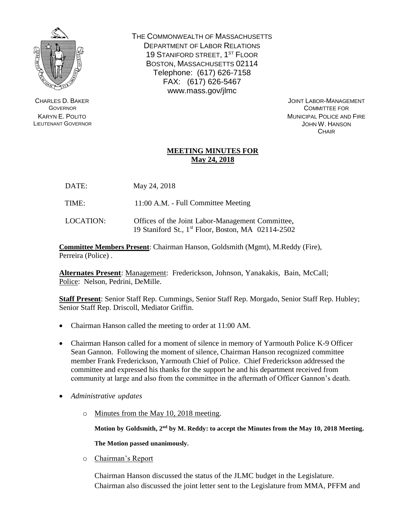

CHARLES D. BAKER **GOVERNOR** KARYN E. POLITO LIEUTENANT GOVERNOR THE COMMONWEALTH OF MASSACHUSETTS DEPARTMENT OF LABOR RELATIONS 19 STANIFORD STREET, 1<sup>ST</sup> FLOOR BOSTON, MASSACHUSETTS 02114 Telephone: (617) 626-7158 FAX: (617) 626-5467 www.mass.gov/jlmc

> JOINT LABOR-MANAGEMENT COMMITTEE FOR MUNICIPAL POLICE AND FIRE JOHN W. HANSON **CHAIR**

## **MEETING MINUTES FOR May 24, 2018**

DATE: May 24, 2018

TIME: 11:00 A.M. - Full Committee Meeting

LOCATION: Offices of the Joint Labor-Management Committee, 19 Staniford St., 1 st Floor, Boston, MA 02114-2502

**Committee Members Present**: Chairman Hanson, Goldsmith (Mgmt), M.Reddy (Fire), Perreira (Police) .

**Alternates Present**: Management: Frederickson, Johnson, Yanakakis, Bain, McCall; Police: Nelson, Pedrini, DeMille.

**Staff Present**: Senior Staff Rep. Cummings, Senior Staff Rep. Morgado, Senior Staff Rep. Hubley; Senior Staff Rep. Driscoll, Mediator Griffin.

- Chairman Hanson called the meeting to order at 11:00 AM.
- Chairman Hanson called for a moment of silence in memory of Yarmouth Police K-9 Officer Sean Gannon. Following the moment of silence, Chairman Hanson recognized committee member Frank Frederickson, Yarmouth Chief of Police. Chief Frederickson addressed the committee and expressed his thanks for the support he and his department received from community at large and also from the committee in the aftermath of Officer Gannon's death.
- *Administrative updates*
	- o Minutes from the May 10, 2018 meeting.

**Motion by Goldsmith, 2nd by M. Reddy: to accept the Minutes from the May 10, 2018 Meeting.** 

**The Motion passed unanimously.**

o Chairman's Report

Chairman Hanson discussed the status of the JLMC budget in the Legislature. Chairman also discussed the joint letter sent to the Legislature from MMA, PFFM and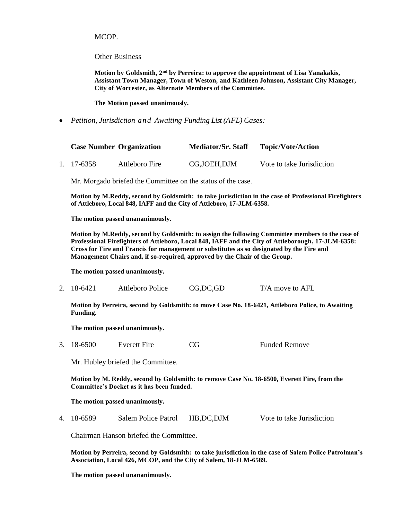MCOP.

Other Business

**Motion by Goldsmith, 2nd by Perreira: to approve the appointment of Lisa Yanakakis, Assistant Town Manager, Town of Weston, and Kathleen Johnson, Assistant City Manager, City of Worcester, as Alternate Members of the Committee.**

**The Motion passed unanimously.**

*Petition, Jurisdiction and Awaiting Funding List (AFL) Cases:*

| <b>Case Number Organization</b> |                | <b>Mediator/Sr. Staff</b> | <b>Topic/Vote/Action</b>  |
|---------------------------------|----------------|---------------------------|---------------------------|
| 1. 17-6358                      | Attleboro Fire | CG, JOEH, DJM             | Vote to take Jurisdiction |

Mr. Morgado briefed the Committee on the status of the case.

**Motion by M.Reddy, second by Goldsmith: to take jurisdiction in the case of Professional Firefighters of Attleboro, Local 848, IAFF and the City of Attleboro, 17-JLM-6358.**

**The motion passed unananimously.**

**Motion by M.Reddy, second by Goldsmith: to assign the following Committee members to the case of Professional Firefighters of Attleboro, Local 848, IAFF and the City of Attleborough, 17-JLM-6358: Cross for Fire and Francis for management or substitutes as so designated by the Fire and Management Chairs and, if so-required, approved by the Chair of the Group.** 

**The motion passed unanimously.**

2. 18-6421 Attleboro Police CG,DC,GD T/A move to AFL

**Motion by Perreira, second by Goldsmith: to move Case No. 18-6421, Attleboro Police, to Awaiting Funding.** 

**The motion passed unanimously.**

3. 18-6500 Everett Fire CG Funded Remove

Mr. Hubley briefed the Committee.

**Motion by M. Reddy, second by Goldsmith: to remove Case No. 18-6500, Everett Fire, from the Committee's Docket as it has been funded.**

**The motion passed unanimously.**

4. 18-6589 Salem Police Patrol HB,DC,DJM Vote to take Jurisdiction

Chairman Hanson briefed the Committee.

**Motion by Perreira, second by Goldsmith: to take jurisdiction in the case of Salem Police Patrolman's Association, Local 426, MCOP, and the City of Salem, 18-JLM-6589.**

**The motion passed unananimously.**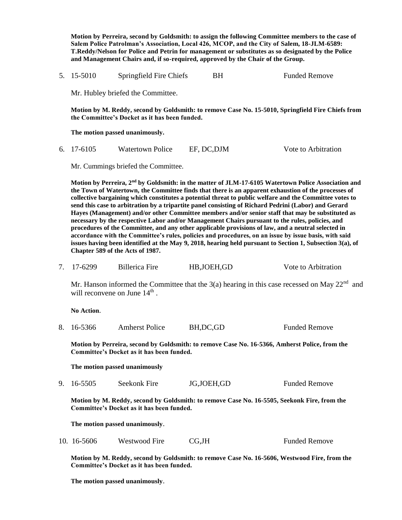**Motion by Perreira, second by Goldsmith: to assign the following Committee members to the case of Salem Police Patrolman's Association, Local 426, MCOP, and the City of Salem, 18-JLM-6589: T.Reddy/Nelson for Police and Petrin for management or substitutes as so designated by the Police and Management Chairs and, if so-required, approved by the Chair of the Group.**  5. 15-5010 Springfield Fire Chiefs BH Funded Remove Mr. Hubley briefed the Committee. **Motion by M. Reddy, second by Goldsmith: to remove Case No. 15-5010, Springfield Fire Chiefs from the Committee's Docket as it has been funded. The motion passed unanimously.** 6. 17-6105 Watertown Police EF, DC,DJM Vote to Arbitration Mr. Cummings briefed the Committee. **Motion by Perreira, 2nd by Goldsmith: in the matter of JLM-17-6105 Watertown Police Association and the Town of Watertown, the Committee finds that there is an apparent exhaustion of the processes of collective bargaining which constitutes a potential threat to public welfare and the Committee votes to send this case to arbitration by a tripartite panel consisting of Richard Pedrini (Labor) and Gerard Hayes (Management) and/or other Committee members and/or senior staff that may be substituted as necessary by the respective Labor and/or Management Chairs pursuant to the rules, policies, and procedures of the Committee, and any other applicable provisions of law, and a neutral selected in accordance with the Committee's rules, policies and procedures, on an issue by issue basis, with said issues having been identified at the May 9, 2018, hearing held pursuant to Section 1, Subsection 3(a), of Chapter 589 of the Acts of 1987.** 7. 17-6299 Billerica Fire HB,JOEH,GD Vote to Arbitration Mr. Hanson informed the Committee that the  $3(a)$  hearing in this case recessed on May  $22<sup>nd</sup>$  and will reconvene on June  $14<sup>th</sup>$ . **No Action**. 8. 16-5366 Amherst Police BH, DC, GD Funded Remove **Motion by Perreira, second by Goldsmith: to remove Case No. 16-5366, Amherst Police, from the Committee's Docket as it has been funded. The motion passed unanimously** 9. 16-5505 Seekonk Fire JG,JOEH,GD Funded Remove **Motion by M. Reddy, second by Goldsmith: to remove Case No. 16-5505, Seekonk Fire, from the Committee's Docket as it has been funded. The motion passed unanimously**. 10. 16-5606 Westwood Fire CG,JH Funded Remove **Motion by M. Reddy, second by Goldsmith: to remove Case No. 16-5606, Westwood Fire, from the Committee's Docket as it has been funded.**

**The motion passed unanimously**.